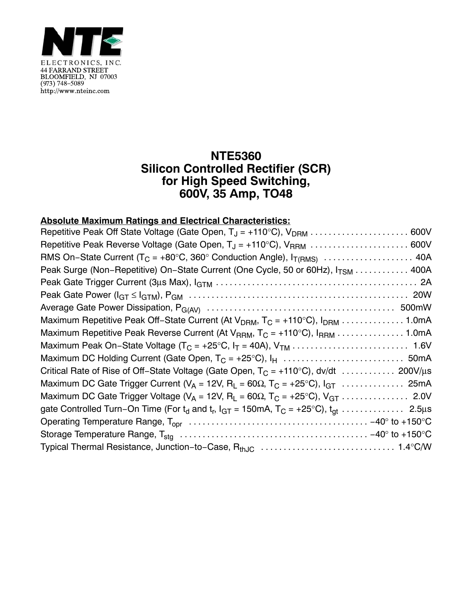

## **NTE5360 Silicon Controlled Rectifier (SCR) for High Speed Switching, 600V, 35 Amp, TO48**

## **Absolute Maximum Ratings and Electrical Characteristics:**